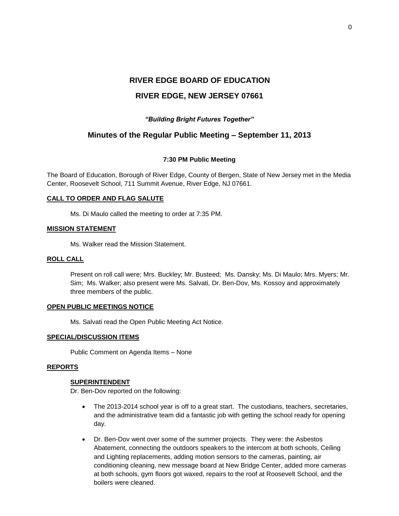# **RIVER EDGE BOARD OF EDUCATION RIVER EDGE, NEW JERSEY 07661**

# *"Building Bright Futures Together"*

# **Minutes of the Regular Public Meeting – September 11, 2013**

# **7:30 PM Public Meeting**

The Board of Education, Borough of River Edge, County of Bergen, State of New Jersey met in the Media Center, Roosevelt School, 711 Summit Avenue, River Edge, NJ 07661.

# **CALL TO ORDER AND FLAG SALUTE**

Ms. Di Maulo called the meeting to order at 7:35 PM.

# **MISSION STATEMENT**

Ms. Walker read the Mission Statement.

# **ROLL CALL**

Present on roll call were; Mrs. Buckley; Mr. Busteed; Ms. Dansky; Ms. Di Maulo; Mrs. Myers; Mr. Sim; Ms. Walker; also present were Ms. Salvati, Dr. Ben-Dov, Ms. Kossoy and approximately three members of the public.

# **OPEN PUBLIC MEETINGS NOTICE**

Ms. Salvati read the Open Public Meeting Act Notice.

# **SPECIAL/DISCUSSION ITEMS**

Public Comment on Agenda Items – None

# **REPORTS**

# **SUPERINTENDENT**

Dr. Ben-Dov reported on the following:

- The 2013-2014 school year is off to a great start. The custodians, teachers, secretaries, and the administrative team did a fantastic job with getting the school ready for opening day.
- Dr. Ben-Dov went over some of the summer projects. They were: the Asbestos Abatement, connecting the outdoors speakers to the intercom at both schools, Ceiling and Lighting replacements, adding motion sensors to the cameras, painting, air conditioning cleaning, new message board at New Bridge Center, added more cameras at both schools, gym floors got waxed, repairs to the roof at Roosevelt School, and the boilers were cleaned.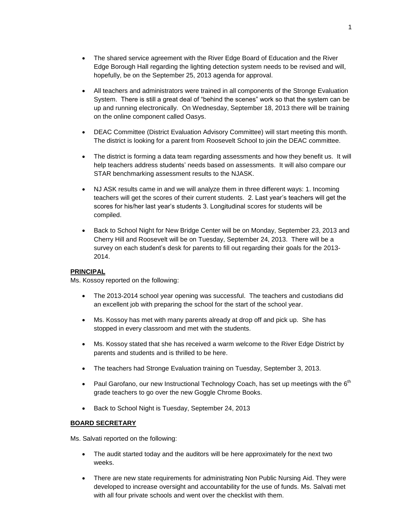- The shared service agreement with the River Edge Board of Education and the River Edge Borough Hall regarding the lighting detection system needs to be revised and will, hopefully, be on the September 25, 2013 agenda for approval.
- All teachers and administrators were trained in all components of the Stronge Evaluation System. There is still a great deal of "behind the scenes" work so that the system can be up and running electronically. On Wednesday, September 18, 2013 there will be training on the online component called Oasys.
- DEAC Committee (District Evaluation Advisory Committee) will start meeting this month. The district is looking for a parent from Roosevelt School to join the DEAC committee.
- The district is forming a data team regarding assessments and how they benefit us. It will help teachers address students' needs based on assessments. It will also compare our STAR benchmarking assessment results to the NJASK.
- NJ ASK results came in and we will analyze them in three different ways: 1. Incoming teachers will get the scores of their current students. 2. Last year's teachers will get the scores for his/her last year's students 3. Longitudinal scores for students will be compiled.
- Back to School Night for New Bridge Center will be on Monday, September 23, 2013 and Cherry Hill and Roosevelt will be on Tuesday, September 24, 2013. There will be a survey on each student's desk for parents to fill out regarding their goals for the 2013- 2014.

# **PRINCIPAL**

Ms. Kossoy reported on the following:

- The 2013-2014 school year opening was successful. The teachers and custodians did an excellent job with preparing the school for the start of the school year.
- Ms. Kossoy has met with many parents already at drop off and pick up. She has stopped in every classroom and met with the students.
- Ms. Kossoy stated that she has received a warm welcome to the River Edge District by parents and students and is thrilled to be here.
- The teachers had Stronge Evaluation training on Tuesday, September 3, 2013.
- Paul Garofano, our new Instructional Technology Coach, has set up meetings with the  $6<sup>th</sup>$ grade teachers to go over the new Goggle Chrome Books.
- Back to School Night is Tuesday, September 24, 2013

# **BOARD SECRETARY**

Ms. Salvati reported on the following:

- The audit started today and the auditors will be here approximately for the next two weeks.
- There are new state requirements for administrating Non Public Nursing Aid. They were developed to increase oversight and accountability for the use of funds. Ms. Salvati met with all four private schools and went over the checklist with them.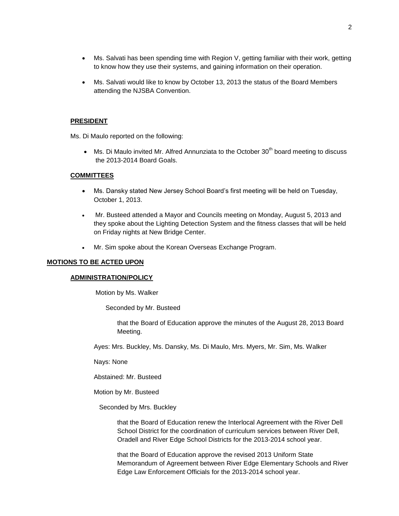- Ms. Salvati has been spending time with Region V, getting familiar with their work, getting to know how they use their systems, and gaining information on their operation.
- Ms. Salvati would like to know by October 13, 2013 the status of the Board Members attending the NJSBA Convention.

#### **PRESIDENT**

Ms. Di Maulo reported on the following:

• Ms. Di Maulo invited Mr. Alfred Annunziata to the October 30<sup>th</sup> board meeting to discuss the 2013-2014 Board Goals.

# **COMMITTEES**

- Ms. Dansky stated New Jersey School Board's first meeting will be held on Tuesday, October 1, 2013.
- Mr. Busteed attended a Mayor and Councils meeting on Monday, August 5, 2013 and they spoke about the Lighting Detection System and the fitness classes that will be held on Friday nights at New Bridge Center.
- Mr. Sim spoke about the Korean Overseas Exchange Program.

# **MOTIONS TO BE ACTED UPON**

# **ADMINISTRATION/POLICY**

Motion by Ms. Walker

Seconded by Mr. Busteed

that the Board of Education approve the minutes of the August 28, 2013 Board Meeting.

Ayes: Mrs. Buckley, Ms. Dansky, Ms. Di Maulo, Mrs. Myers, Mr. Sim, Ms. Walker

Nays: None

Abstained: Mr. Busteed

Motion by Mr. Busteed

Seconded by Mrs. Buckley

that the Board of Education renew the Interlocal Agreement with the River Dell School District for the coordination of curriculum services between River Dell, Oradell and River Edge School Districts for the 2013-2014 school year.

that the Board of Education approve the revised 2013 Uniform State Memorandum of Agreement between River Edge Elementary Schools and River Edge Law Enforcement Officials for the 2013-2014 school year.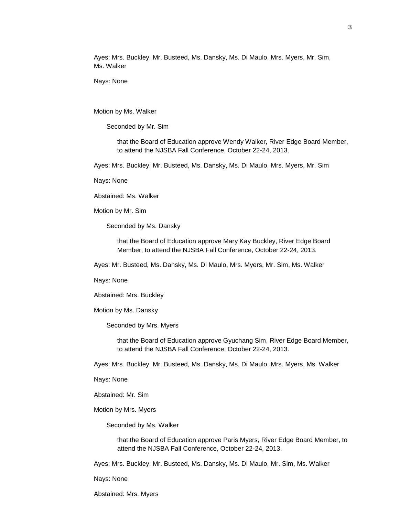Ayes: Mrs. Buckley, Mr. Busteed, Ms. Dansky, Ms. Di Maulo, Mrs. Myers, Mr. Sim, Ms. Walker

Nays: None

Motion by Ms. Walker

Seconded by Mr. Sim

that the Board of Education approve Wendy Walker, River Edge Board Member, to attend the NJSBA Fall Conference, October 22-24, 2013.

Ayes: Mrs. Buckley, Mr. Busteed, Ms. Dansky, Ms. Di Maulo, Mrs. Myers, Mr. Sim

Nays: None

Abstained: Ms. Walker

Motion by Mr. Sim

Seconded by Ms. Dansky

that the Board of Education approve Mary Kay Buckley, River Edge Board Member, to attend the NJSBA Fall Conference, October 22-24, 2013.

Ayes: Mr. Busteed, Ms. Dansky, Ms. Di Maulo, Mrs. Myers, Mr. Sim, Ms. Walker

Nays: None

Abstained: Mrs. Buckley

Motion by Ms. Dansky

Seconded by Mrs. Myers

that the Board of Education approve Gyuchang Sim, River Edge Board Member, to attend the NJSBA Fall Conference, October 22-24, 2013.

Ayes: Mrs. Buckley, Mr. Busteed, Ms. Dansky, Ms. Di Maulo, Mrs. Myers, Ms. Walker

Nays: None

Abstained: Mr. Sim

Motion by Mrs. Myers

Seconded by Ms. Walker

that the Board of Education approve Paris Myers, River Edge Board Member, to attend the NJSBA Fall Conference, October 22-24, 2013.

Ayes: Mrs. Buckley, Mr. Busteed, Ms. Dansky, Ms. Di Maulo, Mr. Sim, Ms. Walker

Nays: None

Abstained: Mrs. Myers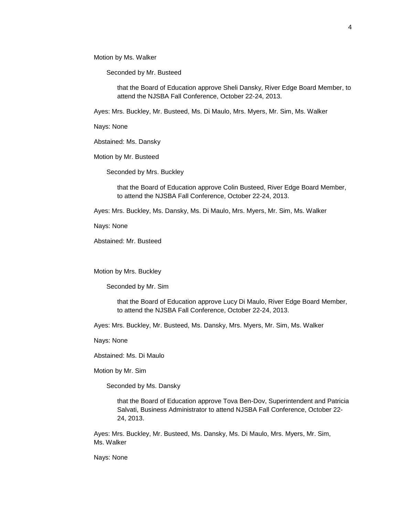Motion by Ms. Walker

Seconded by Mr. Busteed

that the Board of Education approve Sheli Dansky, River Edge Board Member, to attend the NJSBA Fall Conference, October 22-24, 2013.

Ayes: Mrs. Buckley, Mr. Busteed, Ms. Di Maulo, Mrs. Myers, Mr. Sim, Ms. Walker

Nays: None

Abstained: Ms. Dansky

Motion by Mr. Busteed

Seconded by Mrs. Buckley

that the Board of Education approve Colin Busteed, River Edge Board Member, to attend the NJSBA Fall Conference, October 22-24, 2013.

Ayes: Mrs. Buckley, Ms. Dansky, Ms. Di Maulo, Mrs. Myers, Mr. Sim, Ms. Walker

Nays: None

Abstained: Mr. Busteed

Motion by Mrs. Buckley

Seconded by Mr. Sim

that the Board of Education approve Lucy Di Maulo, River Edge Board Member, to attend the NJSBA Fall Conference, October 22-24, 2013.

Ayes: Mrs. Buckley, Mr. Busteed, Ms. Dansky, Mrs. Myers, Mr. Sim, Ms. Walker

Nays: None

Abstained: Ms. Di Maulo

Motion by Mr. Sim

Seconded by Ms. Dansky

that the Board of Education approve Tova Ben-Dov, Superintendent and Patricia Salvati, Business Administrator to attend NJSBA Fall Conference, October 22- 24, 2013.

Ayes: Mrs. Buckley, Mr. Busteed, Ms. Dansky, Ms. Di Maulo, Mrs. Myers, Mr. Sim, Ms. Walker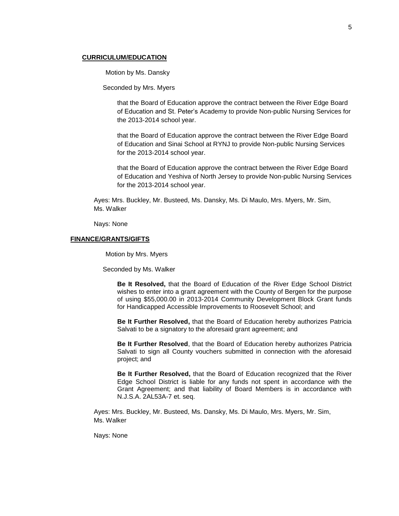# **CURRICULUM/EDUCATION**

Motion by Ms. Dansky

Seconded by Mrs. Myers

that the Board of Education approve the contract between the River Edge Board of Education and St. Peter's Academy to provide Non-public Nursing Services for the 2013-2014 school year.

that the Board of Education approve the contract between the River Edge Board of Education and Sinai School at RYNJ to provide Non-public Nursing Services for the 2013-2014 school year.

that the Board of Education approve the contract between the River Edge Board of Education and Yeshiva of North Jersey to provide Non-public Nursing Services for the 2013-2014 school year.

Ayes: Mrs. Buckley, Mr. Busteed, Ms. Dansky, Ms. Di Maulo, Mrs. Myers, Mr. Sim, Ms. Walker

Nays: None

#### **FINANCE/GRANTS/GIFTS**

Motion by Mrs. Myers

Seconded by Ms. Walker

**Be It Resolved,** that the Board of Education of the River Edge School District wishes to enter into a grant agreement with the County of Bergen for the purpose of using \$55,000.00 in 2013-2014 Community Development Block Grant funds for Handicapped Accessible Improvements to Roosevelt School; and

**Be It Further Resolved,** that the Board of Education hereby authorizes Patricia Salvati to be a signatory to the aforesaid grant agreement; and

**Be It Further Resolved**, that the Board of Education hereby authorizes Patricia Salvati to sign all County vouchers submitted in connection with the aforesaid project; and

**Be It Further Resolved,** that the Board of Education recognized that the River Edge School District is liable for any funds not spent in accordance with the Grant Agreement; and that liability of Board Members is in accordance with N.J.S.A. 2AL53A-7 et. seq.

Ayes: Mrs. Buckley, Mr. Busteed, Ms. Dansky, Ms. Di Maulo, Mrs. Myers, Mr. Sim, Ms. Walker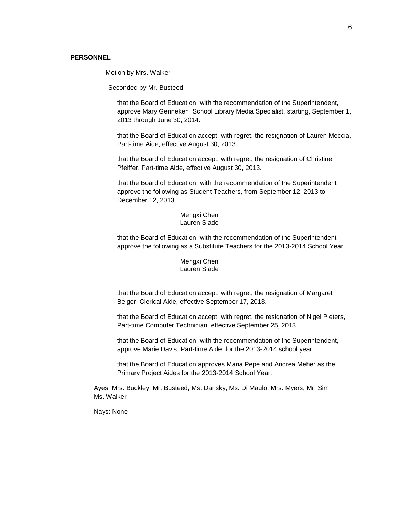## **PERSONNEL**

Motion by Mrs. Walker

Seconded by Mr. Busteed

that the Board of Education, with the recommendation of the Superintendent, approve Mary Genneken, School Library Media Specialist, starting, September 1, 2013 through June 30, 2014.

that the Board of Education accept, with regret, the resignation of Lauren Meccia, Part-time Aide, effective August 30, 2013.

that the Board of Education accept, with regret, the resignation of Christine Pfeiffer, Part-time Aide, effective August 30, 2013.

that the Board of Education, with the recommendation of the Superintendent approve the following as Student Teachers, from September 12, 2013 to December 12, 2013.

> Mengxi Chen Lauren Slade

that the Board of Education, with the recommendation of the Superintendent approve the following as a Substitute Teachers for the 2013-2014 School Year.

> Mengxi Chen Lauren Slade

that the Board of Education accept, with regret, the resignation of Margaret Belger, Clerical Aide, effective September 17, 2013.

that the Board of Education accept, with regret, the resignation of Nigel Pieters, Part-time Computer Technician, effective September 25, 2013.

that the Board of Education, with the recommendation of the Superintendent, approve Marie Davis, Part-time Aide, for the 2013-2014 school year.

that the Board of Education approves Maria Pepe and Andrea Meher as the Primary Project Aides for the 2013-2014 School Year.

Ayes: Mrs. Buckley, Mr. Busteed, Ms. Dansky, Ms. Di Maulo, Mrs. Myers, Mr. Sim, Ms. Walker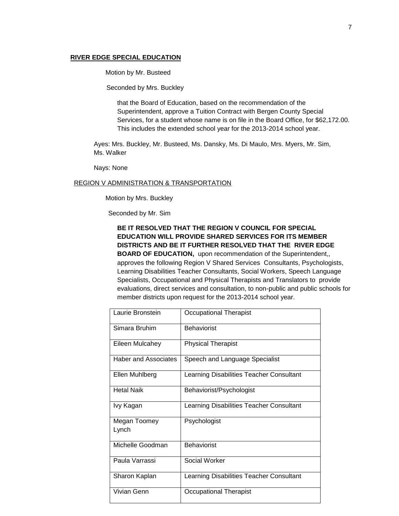# **RIVER EDGE SPECIAL EDUCATION**

Motion by Mr. Busteed

Seconded by Mrs. Buckley

that the Board of Education, based on the recommendation of the Superintendent, approve a Tuition Contract with Bergen County Special Services, for a student whose name is on file in the Board Office, for \$62,172.00. This includes the extended school year for the 2013-2014 school year.

Ayes: Mrs. Buckley, Mr. Busteed, Ms. Dansky, Ms. Di Maulo, Mrs. Myers, Mr. Sim, Ms. Walker

Nays: None

# REGION V ADMINISTRATION & TRANSPORTATION

Motion by Mrs. Buckley

Seconded by Mr. Sim

**BE IT RESOLVED THAT THE REGION V COUNCIL FOR SPECIAL EDUCATION WILL PROVIDE SHARED SERVICES FOR ITS MEMBER DISTRICTS AND BE IT FURTHER RESOLVED THAT THE RIVER EDGE BOARD OF EDUCATION,** upon recommendation of the Superintendent,, approves the following Region V Shared Services Consultants, Psychologists, Learning Disabilities Teacher Consultants, Social Workers, Speech Language Specialists, Occupational and Physical Therapists and Translators to provide evaluations, direct services and consultation, to non-public and public schools for member districts upon request for the 2013-2014 school year.

| Laurie Bronstein      | <b>Occupational Therapist</b>            |
|-----------------------|------------------------------------------|
| Simara Bruhim         | <b>Behaviorist</b>                       |
| Eileen Mulcahey       | <b>Physical Therapist</b>                |
| Haber and Associates  | Speech and Language Specialist           |
| Ellen Muhlberg        | Learning Disabilities Teacher Consultant |
| Hetal Naik            | Behaviorist/Psychologist                 |
| Ivy Kagan             | Learning Disabilities Teacher Consultant |
| Megan Toomey<br>Lynch | Psychologist                             |
| Michelle Goodman      | <b>Behaviorist</b>                       |
| Paula Varrassi        | Social Worker                            |
| Sharon Kaplan         | Learning Disabilities Teacher Consultant |
| Vivian Genn           | Occupational Therapist                   |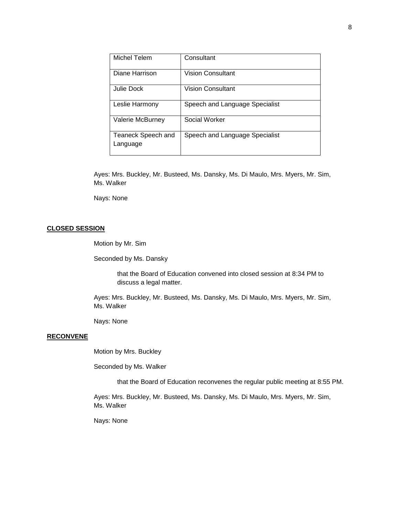| Michel Telem                   | Consultant                     |
|--------------------------------|--------------------------------|
| Diane Harrison                 | Vision Consultant              |
| Julie Dock                     | Vision Consultant              |
| Leslie Harmony                 | Speech and Language Specialist |
| Valerie McBurney               | Social Worker                  |
| Teaneck Speech and<br>Language | Speech and Language Specialist |

Ayes: Mrs. Buckley, Mr. Busteed, Ms. Dansky, Ms. Di Maulo, Mrs. Myers, Mr. Sim, Ms. Walker

Nays: None

# **CLOSED SESSION**

Motion by Mr. Sim

Seconded by Ms. Dansky

that the Board of Education convened into closed session at 8:34 PM to discuss a legal matter.

Ayes: Mrs. Buckley, Mr. Busteed, Ms. Dansky, Ms. Di Maulo, Mrs. Myers, Mr. Sim, Ms. Walker

Nays: None

# **RECONVENE**

Motion by Mrs. Buckley

Seconded by Ms. Walker

that the Board of Education reconvenes the regular public meeting at 8:55 PM.

Ayes: Mrs. Buckley, Mr. Busteed, Ms. Dansky, Ms. Di Maulo, Mrs. Myers, Mr. Sim, Ms. Walker